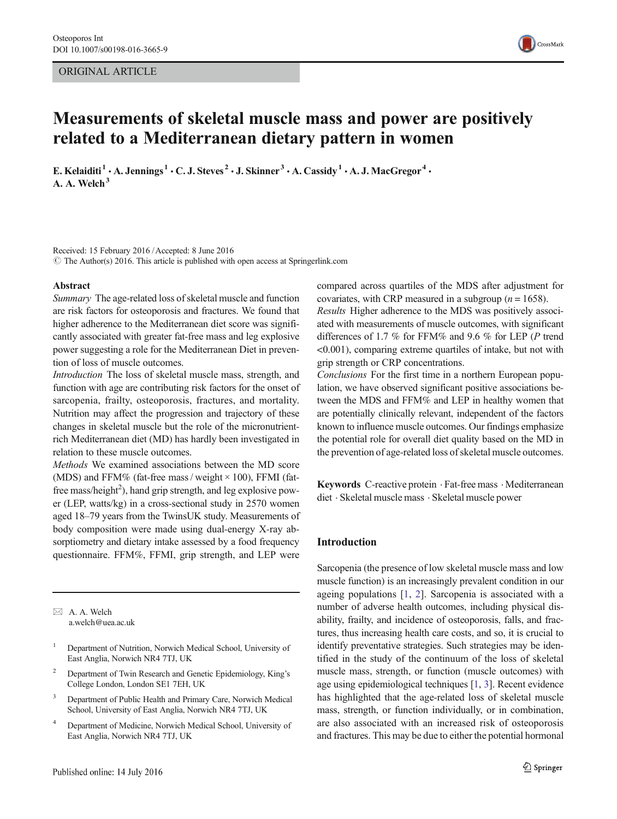# ORIGINAL ARTICLE



# Measurements of skeletal muscle mass and power are positively related to a Mediterranean dietary pattern in women

E. Kelaiditi<sup>1</sup>  $\cdot$  A. Jennings<sup>1</sup>  $\cdot$  C. J. Steves<sup>2</sup>  $\cdot$  J. Skinner<sup>3</sup>  $\cdot$  A. Cassidy<sup>1</sup>  $\cdot$  A. J. MacGregor<sup>4</sup>  $\cdot$ A. A. Welch $<sup>3</sup>$ </sup>

Received: 15 February 2016 /Accepted: 8 June 2016  $\circ$  The Author(s) 2016. This article is published with open access at Springerlink.com

#### Abstract

Summary The age-related loss of skeletal muscle and function are risk factors for osteoporosis and fractures. We found that higher adherence to the Mediterranean diet score was significantly associated with greater fat-free mass and leg explosive power suggesting a role for the Mediterranean Diet in prevention of loss of muscle outcomes.

Introduction The loss of skeletal muscle mass, strength, and function with age are contributing risk factors for the onset of sarcopenia, frailty, osteoporosis, fractures, and mortality. Nutrition may affect the progression and trajectory of these changes in skeletal muscle but the role of the micronutrientrich Mediterranean diet (MD) has hardly been investigated in relation to these muscle outcomes.

Methods We examined associations between the MD score (MDS) and FFM% (fat-free mass / weight  $\times$  100), FFMI (fatfree mass/height<sup>2</sup>), hand grip strength, and leg explosive power (LEP, watts/kg) in a cross-sectional study in 2570 women aged 18–79 years from the TwinsUK study. Measurements of body composition were made using dual-energy X-ray absorptiometry and dietary intake assessed by a food frequency questionnaire. FFM%, FFMI, grip strength, and LEP were

 $\boxtimes$  A. A. Welch a.welch@uea.ac.uk

- <sup>1</sup> Department of Nutrition, Norwich Medical School, University of East Anglia, Norwich NR4 7TJ, UK
- <sup>2</sup> Department of Twin Research and Genetic Epidemiology, King's College London, London SE1 7EH, UK
- <sup>3</sup> Department of Public Health and Primary Care, Norwich Medical School, University of East Anglia, Norwich NR4 7TJ, UK
- <sup>4</sup> Department of Medicine, Norwich Medical School, University of East Anglia, Norwich NR4 7TJ, UK

compared across quartiles of the MDS after adjustment for covariates, with CRP measured in a subgroup ( $n = 1658$ ). Results Higher adherence to the MDS was positively associated with measurements of muscle outcomes, with significant

differences of 1.7 % for FFM% and 9.6 % for LEP (P trend <0.001), comparing extreme quartiles of intake, but not with grip strength or CRP concentrations.

Conclusions For the first time in a northern European population, we have observed significant positive associations between the MDS and FFM% and LEP in healthy women that are potentially clinically relevant, independent of the factors known to influence muscle outcomes. Our findings emphasize the potential role for overall diet quality based on the MD in the prevention of age-related loss of skeletal muscle outcomes.

Keywords C-reactive protein . Fat-free mass . Mediterranean diet . Skeletal muscle mass . Skeletal muscle power

# Introduction

Sarcopenia (the presence of low skeletal muscle mass and low muscle function) is an increasingly prevalent condition in our ageing populations [[1,](#page-8-0) [2](#page-8-0)]. Sarcopenia is associated with a number of adverse health outcomes, including physical disability, frailty, and incidence of osteoporosis, falls, and fractures, thus increasing health care costs, and so, it is crucial to identify preventative strategies. Such strategies may be identified in the study of the continuum of the loss of skeletal muscle mass, strength, or function (muscle outcomes) with age using epidemiological techniques [[1](#page-8-0), [3](#page-8-0)]. Recent evidence has highlighted that the age-related loss of skeletal muscle mass, strength, or function individually, or in combination, are also associated with an increased risk of osteoporosis and fractures. This may be due to either the potential hormonal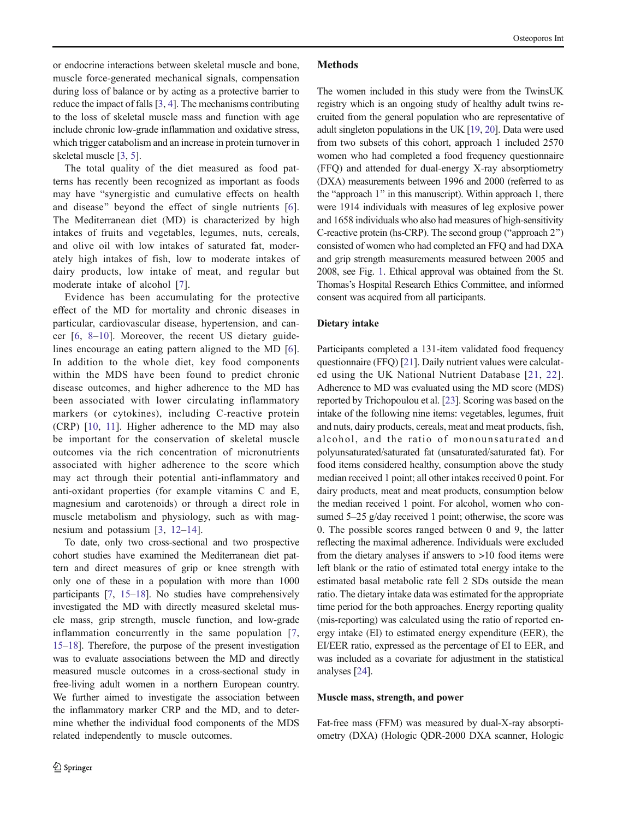or endocrine interactions between skeletal muscle and bone, muscle force-generated mechanical signals, compensation during loss of balance or by acting as a protective barrier to reduce the impact of falls [[3,](#page-8-0) [4](#page-8-0)]. The mechanisms contributing to the loss of skeletal muscle mass and function with age include chronic low-grade inflammation and oxidative stress, which trigger catabolism and an increase in protein turnover in skeletal muscle [\[3](#page-8-0), [5](#page-8-0)].

The total quality of the diet measured as food patterns has recently been recognized as important as foods may have "synergistic and cumulative effects on health and disease" beyond the effect of single nutrients [\[6](#page-8-0)]. The Mediterranean diet (MD) is characterized by high intakes of fruits and vegetables, legumes, nuts, cereals, and olive oil with low intakes of saturated fat, moderately high intakes of fish, low to moderate intakes of dairy products, low intake of meat, and regular but moderate intake of alcohol [[7\]](#page-8-0).

Evidence has been accumulating for the protective effect of the MD for mortality and chronic diseases in particular, cardiovascular disease, hypertension, and cancer [[6](#page-8-0), [8](#page-8-0)–[10](#page-8-0)]. Moreover, the recent US dietary guidelines encourage an eating pattern aligned to the MD [\[6](#page-8-0)]. In addition to the whole diet, key food components within the MDS have been found to predict chronic disease outcomes, and higher adherence to the MD has been associated with lower circulating inflammatory markers (or cytokines), including C-reactive protein (CRP) [[10,](#page-8-0) [11\]](#page-8-0). Higher adherence to the MD may also be important for the conservation of skeletal muscle outcomes via the rich concentration of micronutrients associated with higher adherence to the score which may act through their potential anti-inflammatory and anti-oxidant properties (for example vitamins C and E, magnesium and carotenoids) or through a direct role in muscle metabolism and physiology, such as with magnesium and potassium [[3,](#page-8-0) [12](#page-8-0)–[14](#page-8-0)].

To date, only two cross-sectional and two prospective cohort studies have examined the Mediterranean diet pattern and direct measures of grip or knee strength with only one of these in a population with more than 1000 participants [[7,](#page-8-0) [15](#page-8-0)–[18\]](#page-8-0). No studies have comprehensively investigated the MD with directly measured skeletal muscle mass, grip strength, muscle function, and low-grade inflammation concurrently in the same population [\[7,](#page-8-0) [15](#page-8-0)–[18](#page-8-0)]. Therefore, the purpose of the present investigation was to evaluate associations between the MD and directly measured muscle outcomes in a cross-sectional study in free-living adult women in a northern European country. We further aimed to investigate the association between the inflammatory marker CRP and the MD, and to determine whether the individual food components of the MDS related independently to muscle outcomes.

# **Methods**

The women included in this study were from the TwinsUK registry which is an ongoing study of healthy adult twins recruited from the general population who are representative of adult singleton populations in the UK [\[19,](#page-8-0) [20\]](#page-8-0). Data were used from two subsets of this cohort, approach 1 included 2570 women who had completed a food frequency questionnaire (FFQ) and attended for dual-energy X-ray absorptiometry (DXA) measurements between 1996 and 2000 (referred to as the "approach  $1$ " in this manuscript). Within approach 1, there were 1914 individuals with measures of leg explosive power and 1658 individuals who also had measures of high-sensitivity C-reactive protein (hs-CRP). The second group ("approach  $2$ ") consisted of women who had completed an FFQ and had DXA and grip strength measurements measured between 2005 and 2008, see Fig. [1](#page-2-0). Ethical approval was obtained from the St. Thomas's Hospital Research Ethics Committee, and informed consent was acquired from all participants.

# Dietary intake

Participants completed a 131-item validated food frequency questionnaire (FFQ) [[21\]](#page-8-0). Daily nutrient values were calculated using the UK National Nutrient Database [[21,](#page-8-0) [22](#page-8-0)]. Adherence to MD was evaluated using the MD score (MDS) reported by Trichopoulou et al. [[23\]](#page-8-0). Scoring was based on the intake of the following nine items: vegetables, legumes, fruit and nuts, dairy products, cereals, meat and meat products, fish, alcohol, and the ratio of monounsaturated and polyunsaturated/saturated fat (unsaturated/saturated fat). For food items considered healthy, consumption above the study median received 1 point; all other intakes received 0 point. For dairy products, meat and meat products, consumption below the median received 1 point. For alcohol, women who consumed 5–25 g/day received 1 point; otherwise, the score was 0. The possible scores ranged between 0 and 9, the latter reflecting the maximal adherence. Individuals were excluded from the dietary analyses if answers to >10 food items were left blank or the ratio of estimated total energy intake to the estimated basal metabolic rate fell 2 SDs outside the mean ratio. The dietary intake data was estimated for the appropriate time period for the both approaches. Energy reporting quality (mis-reporting) was calculated using the ratio of reported energy intake (EI) to estimated energy expenditure (EER), the EI/EER ratio, expressed as the percentage of EI to EER, and was included as a covariate for adjustment in the statistical analyses [[24](#page-8-0)].

# Muscle mass, strength, and power

Fat-free mass (FFM) was measured by dual-X-ray absorptiometry (DXA) (Hologic QDR-2000 DXA scanner, Hologic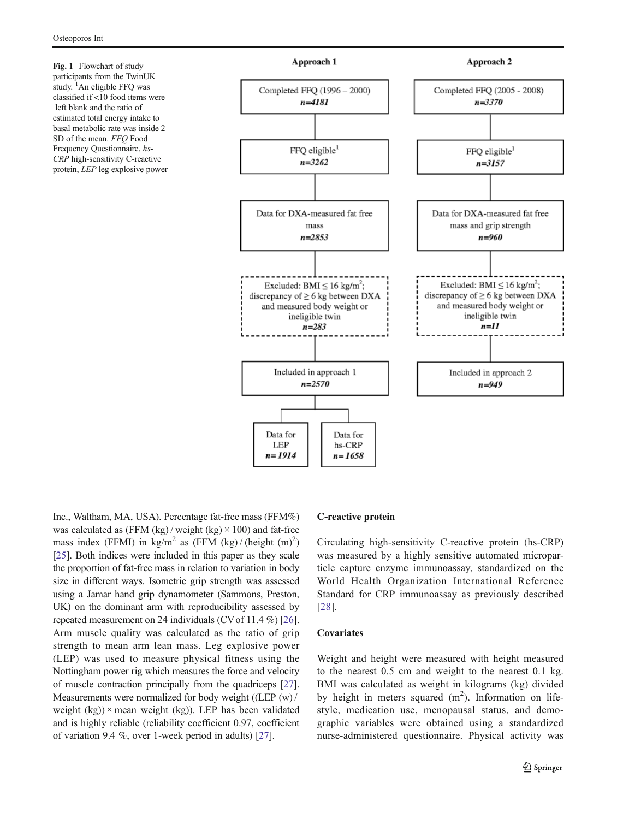<span id="page-2-0"></span>Fig. 1 Flowchart of study participants from the TwinUK study. <sup>1</sup>An eligible FFQ was classified if <10 food items were left blank and the ratio of estimated total energy intake to basal metabolic rate was inside 2 SD of the mean. FFO Food Frequency Questionnaire, hs-CRP high-sensitivity C-reactive protein, LEP leg explosive power



Inc., Waltham, MA, USA). Percentage fat-free mass (FFM%) was calculated as (FFM (kg) / weight (kg)  $\times$  100) and fat-free mass index (FFMI) in kg/m<sup>2</sup> as (FFM (kg)/(height  $(m)^2$ ) [\[25\]](#page-8-0). Both indices were included in this paper as they scale the proportion of fat-free mass in relation to variation in body size in different ways. Isometric grip strength was assessed using a Jamar hand grip dynamometer (Sammons, Preston, UK) on the dominant arm with reproducibility assessed by repeated measurement on 24 individuals (CV of 11.4 %) [[26\]](#page-8-0). Arm muscle quality was calculated as the ratio of grip strength to mean arm lean mass. Leg explosive power (LEP) was used to measure physical fitness using the Nottingham power rig which measures the force and velocity of muscle contraction principally from the quadriceps [[27\]](#page-8-0). Measurements were normalized for body weight ((LEP (w) / weight  $(kg)$  × mean weight  $(kg)$ ). LEP has been validated and is highly reliable (reliability coefficient 0.97, coefficient of variation 9.4 %, over 1-week period in adults) [[27\]](#page-8-0).

#### C-reactive protein

Circulating high-sensitivity C-reactive protein (hs-CRP) was measured by a highly sensitive automated microparticle capture enzyme immunoassay, standardized on the World Health Organization International Reference Standard for CRP immunoassay as previously described [\[28\]](#page-8-0).

#### Covariates

Weight and height were measured with height measured to the nearest 0.5 cm and weight to the nearest 0.1 kg. BMI was calculated as weight in kilograms (kg) divided by height in meters squared  $(m^2)$ . Information on lifestyle, medication use, menopausal status, and demographic variables were obtained using a standardized nurse-administered questionnaire. Physical activity was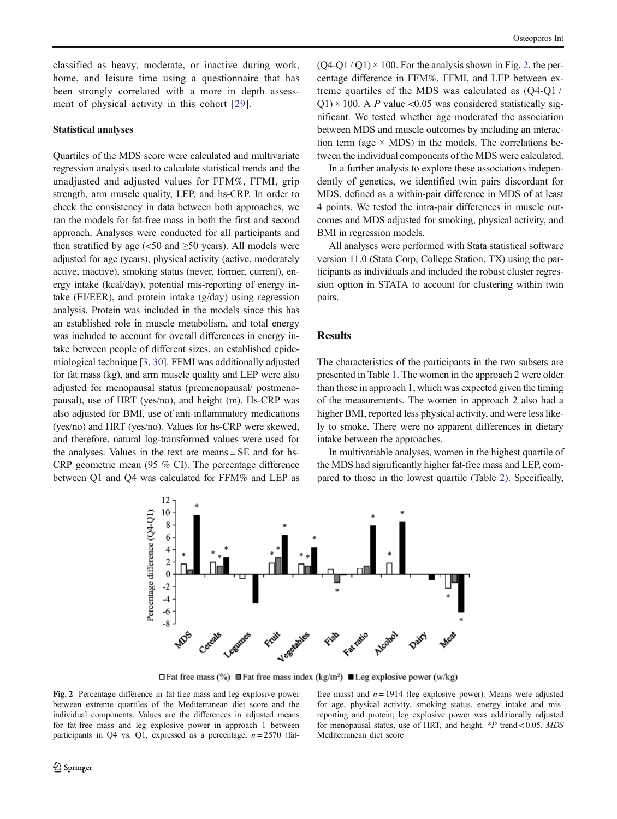<span id="page-3-0"></span>classified as heavy, moderate, or inactive during work, home, and leisure time using a questionnaire that has been strongly correlated with a more in depth assessment of physical activity in this cohort [[29\]](#page-8-0).

#### Statistical analyses

Quartiles of the MDS score were calculated and multivariate regression analysis used to calculate statistical trends and the unadjusted and adjusted values for FFM%, FFMI, grip strength, arm muscle quality, LEP, and hs-CRP. In order to check the consistency in data between both approaches, we ran the models for fat-free mass in both the first and second approach. Analyses were conducted for all participants and then stratified by age ( $\leq 50$  and  $\geq 50$  years). All models were adjusted for age (years), physical activity (active, moderately active, inactive), smoking status (never, former, current), energy intake (kcal/day), potential mis-reporting of energy intake (EI/EER), and protein intake (g/day) using regression analysis. Protein was included in the models since this has an established role in muscle metabolism, and total energy was included to account for overall differences in energy intake between people of different sizes, an established epidemiological technique [\[3,](#page-8-0) [30\]](#page-8-0). FFMI was additionally adjusted for fat mass (kg), and arm muscle quality and LEP were also adjusted for menopausal status (premenopausal/ postmenopausal), use of HRT (yes/no), and height (m). Hs-CRP was also adjusted for BMI, use of anti-inflammatory medications (yes/no) and HRT (yes/no). Values for hs-CRP were skewed, and therefore, natural log-transformed values were used for the analyses. Values in the text are means  $\pm$  SE and for hs-CRP geometric mean (95 % CI). The percentage difference between Q1 and Q4 was calculated for FFM% and LEP as  $(O4-O1/O1) \times 100$ . For the analysis shown in Fig. 2, the percentage difference in FFM%, FFMI, and LEP between extreme quartiles of the MDS was calculated as (Q4-Q1 /  $Q1$  × 100. A P value <0.05 was considered statistically significant. We tested whether age moderated the association between MDS and muscle outcomes by including an interaction term (age  $\times$  MDS) in the models. The correlations between the individual components of the MDS were calculated.

In a further analysis to explore these associations independently of genetics, we identified twin pairs discordant for MDS, defined as a within-pair difference in MDS of at least 4 points. We tested the intra-pair differences in muscle outcomes and MDS adjusted for smoking, physical activity, and BMI in regression models.

All analyses were performed with Stata statistical software version 11.0 (Stata Corp, College Station, TX) using the participants as individuals and included the robust cluster regression option in STATA to account for clustering within twin pairs.

#### **Results**

The characteristics of the participants in the two subsets are presented in Table [1](#page-4-0). The women in the approach 2 were older than those in approach 1, which was expected given the timing of the measurements. The women in approach 2 also had a higher BMI, reported less physical activity, and were less likely to smoke. There were no apparent differences in dietary intake between the approaches.

In multivariable analyses, women in the highest quartile of the MDS had significantly higher fat-free mass and LEP, compared to those in the lowest quartile (Table [2](#page-5-0)). Specifically,



 $\Box$  Fat free mass (%)  $\Box$  Fat free mass index (kg/m<sup>2</sup>)  $\Box$  Leg explosive power (w/kg)

Fig. 2 Percentage difference in fat-free mass and leg explosive power between extreme quartiles of the Mediterranean diet score and the individual components. Values are the differences in adjusted means for fat-free mass and leg explosive power in approach 1 between participants in Q4 vs. Q1, expressed as a percentage,  $n = 2570$  (fat-

free mass) and  $n = 1914$  (leg explosive power). Means were adjusted for age, physical activity, smoking status, energy intake and misreporting and protein; leg explosive power was additionally adjusted for menopausal status, use of HRT, and height.  $*P$  trend < 0.05. MDS Mediterranean diet score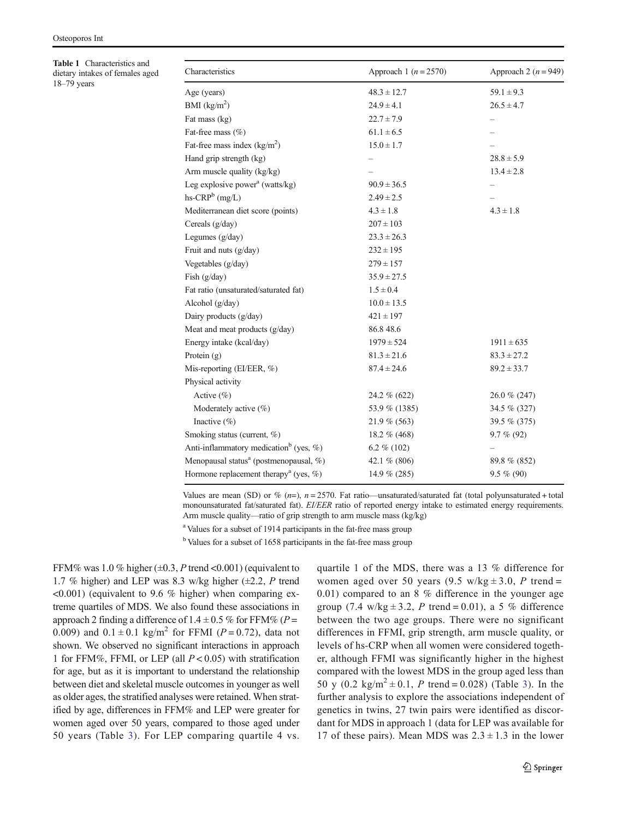<span id="page-4-0"></span>Table 1 Characteristics and dietary intakes of females aged 18–79 years

| Characteristics                                       | Approach 1 $(n = 2570)$ | Approach 2 $(n = 949)$ |  |  |
|-------------------------------------------------------|-------------------------|------------------------|--|--|
| Age (years)                                           | $48.3 \pm 12.7$         | $59.1 \pm 9.3$         |  |  |
| BMI (kg/m <sup>2</sup> )                              | $24.9 \pm 4.1$          | $26.5 \pm 4.7$         |  |  |
| Fat mass (kg)                                         | $22.7 \pm 7.9$          |                        |  |  |
| Fat-free mass (%)                                     | $61.1 \pm 6.5$          |                        |  |  |
| Fat-free mass index $(kg/m2)$                         | $15.0 \pm 1.7$          |                        |  |  |
| Hand grip strength (kg)                               |                         | $28.8 \pm 5.9$         |  |  |
| Arm muscle quality (kg/kg)                            |                         | $13.4 \pm 2.8$         |  |  |
| Leg explosive power <sup>a</sup> (watts/kg)           | $90.9 \pm 36.5$         |                        |  |  |
| hs- $CRPb$ (mg/L)                                     | $2.49 \pm 2.5$          |                        |  |  |
| Mediterranean diet score (points)                     | $4.3 \pm 1.8$           | $4.3 \pm 1.8$          |  |  |
| Cereals (g/day)                                       | $207 \pm 103$           |                        |  |  |
| Legumes $(g/day)$                                     | $23.3 \pm 26.3$         |                        |  |  |
| Fruit and nuts (g/day)                                | $232 \pm 195$           |                        |  |  |
| Vegetables (g/day)                                    | $279 \pm 157$           |                        |  |  |
| Fish $(g/day)$                                        | $35.9 \pm 27.5$         |                        |  |  |
| Fat ratio (unsaturated/saturated fat)                 | $1.5 \pm 0.4$           |                        |  |  |
| Alcohol (g/day)                                       | $10.0 \pm 13.5$         |                        |  |  |
| Dairy products (g/day)                                | $421 \pm 197$           |                        |  |  |
| Meat and meat products (g/day)                        | 86.848.6                |                        |  |  |
| Energy intake (kcal/day)                              | $1979 \pm 524$          | $1911 \pm 635$         |  |  |
| Protein $(g)$                                         | $81.3 \pm 21.6$         | $83.3 \pm 27.2$        |  |  |
| Mis-reporting (EI/EER, %)                             | $87.4 \pm 24.6$         | $89.2 \pm 33.7$        |  |  |
| Physical activity                                     |                         |                        |  |  |
| Active $(\% )$                                        | 24.2 % (622)            | 26.0 % (247)           |  |  |
| Moderately active $(\%)$                              | 53.9 % (1385)           | 34.5 % (327)           |  |  |
| Inactive $(\% )$                                      | $21.9\%$ (563)          | 39.5 % (375)           |  |  |
| Smoking status (current, %)                           | 18.2 % (468)            | $9.7 \% (92)$          |  |  |
| Anti-inflammatory medication <sup>b</sup> (yes, %)    | 6.2 $% (102)$           |                        |  |  |
| Menopausal status <sup>a</sup> (postmenopausal, %)    | 42.1 $\%$ (806)         | 89.8 % (852)           |  |  |
| Hormone replacement therapy <sup>a</sup> (yes, $\%$ ) | 14.9 % (285)            | 9.5 % (90)             |  |  |
|                                                       |                         |                        |  |  |

Values are mean (SD) or  $\%$  (n=), n = 2570. Fat ratio—unsaturated/saturated fat (total polyunsaturated + total monounsaturated fat/saturated fat). EI/EER ratio of reported energy intake to estimated energy requirements. Arm muscle quality—ratio of grip strength to arm muscle mass (kg/kg)

<sup>a</sup> Values for a subset of 1914 participants in the fat-free mass group

<sup>b</sup> Values for a subset of 1658 participants in the fat-free mass group

FFM% was 1.0 % higher  $(\pm 0.3, P \text{ trend} < 0.001)$  (equivalent to 1.7 % higher) and LEP was 8.3 w/kg higher  $(\pm 2.2, P \text{ trend})$  $\leq 0.001$ ) (equivalent to 9.6 % higher) when comparing extreme quartiles of MDS. We also found these associations in approach 2 finding a difference of  $1.4 \pm 0.5$  % for FFM% ( $P =$ 0.009) and  $0.1 \pm 0.1$  kg/m<sup>2</sup> for FFMI ( $P = 0.72$ ), data not shown. We observed no significant interactions in approach 1 for FFM%, FFMI, or LEP (all  $P < 0.05$ ) with stratification for age, but as it is important to understand the relationship between diet and skeletal muscle outcomes in younger as well as older ages, the stratified analyses were retained. When stratified by age, differences in FFM% and LEP were greater for women aged over 50 years, compared to those aged under 50 years (Table [3](#page-6-0)). For LEP comparing quartile 4 vs.

quartile 1 of the MDS, there was a 13 % difference for women aged over 50 years (9.5 w/kg  $\pm$  3.0, P trend = 0.01) compared to an 8 % difference in the younger age group (7.4 w/kg  $\pm$  3.2, P trend = 0.01), a 5 % difference between the two age groups. There were no significant differences in FFMI, grip strength, arm muscle quality, or levels of hs-CRP when all women were considered together, although FFMI was significantly higher in the highest compared with the lowest MDS in the group aged less than 50 y (0.2 kg/m<sup>2</sup>  $\pm$  0.1, *P* trend = 0.028) (Table [3\)](#page-6-0). In the further analysis to explore the associations independent of genetics in twins, 27 twin pairs were identified as discordant for MDS in approach 1 (data for LEP was available for 17 of these pairs). Mean MDS was  $2.3 \pm 1.3$  in the lower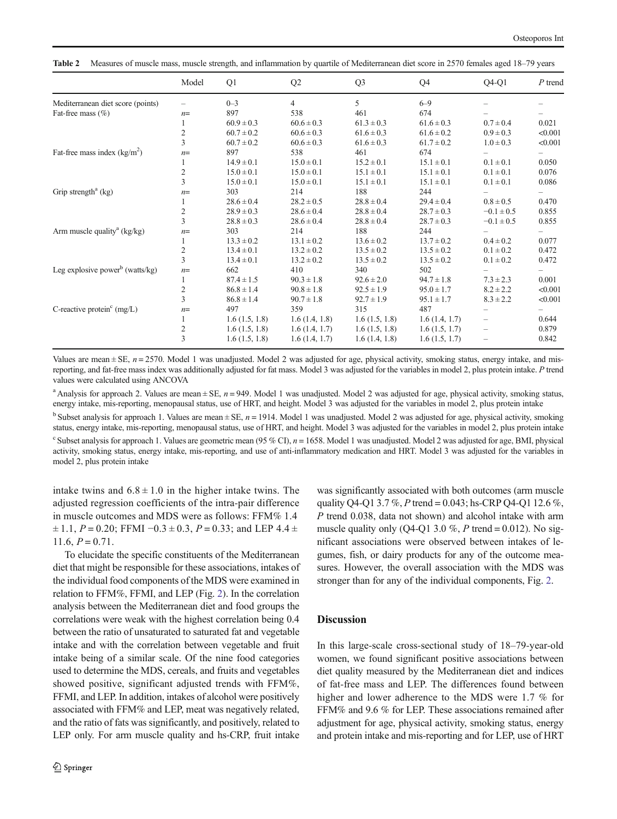<span id="page-5-0"></span>Table 2 Measures of muscle mass, muscle strength, and inflammation by quartile of Mediterranean diet score in 2570 females aged 18–79 years

|                                             | Model          | Q1             | Q <sub>2</sub> | Q <sub>3</sub> | Q4             | $Q4-Q1$        | P trend                  |
|---------------------------------------------|----------------|----------------|----------------|----------------|----------------|----------------|--------------------------|
| Mediterranean diet score (points)           |                | $0 - 3$        | 4              | 5              | $6 - 9$        |                |                          |
| Fat-free mass $(\% )$                       | $n=$           | 897            | 538            | 461            | 674            |                |                          |
|                                             |                | $60.9 \pm 0.3$ | $60.6 \pm 0.3$ | $61.3 \pm 0.3$ | $61.6 \pm 0.3$ | $0.7 \pm 0.4$  | 0.021                    |
|                                             | $\overline{c}$ | $60.7 \pm 0.2$ | $60.6 \pm 0.3$ | $61.6 \pm 0.3$ | $61.6 \pm 0.2$ | $0.9 \pm 0.3$  | < 0.001                  |
|                                             | 3              | $60.7 \pm 0.2$ | $60.6 \pm 0.3$ | $61.6 \pm 0.3$ | $61.7 \pm 0.2$ | $1.0 \pm 0.3$  | < 0.001                  |
| Fat-free mass index $(kg/m2)$               | $n=$           | 897            | 538            | 461            | 674            |                | $\overline{\phantom{0}}$ |
|                                             |                | $14.9 \pm 0.1$ | $15.0 \pm 0.1$ | $15.2 \pm 0.1$ | $15.1 \pm 0.1$ | $0.1 \pm 0.1$  | 0.050                    |
|                                             | $\mathfrak{2}$ | $15.0 \pm 0.1$ | $15.0 \pm 0.1$ | $15.1 \pm 0.1$ | $15.1 \pm 0.1$ | $0.1 \pm 0.1$  | 0.076                    |
|                                             | 3              | $15.0 \pm 0.1$ | $15.0 \pm 0.1$ | $15.1 \pm 0.1$ | $15.1 \pm 0.1$ | $0.1 \pm 0.1$  | 0.086                    |
| Grip strength <sup>a</sup> $(kg)$           | $n=$           | 303            | 214            | 188            | 244            |                |                          |
|                                             |                | $28.6 \pm 0.4$ | $28.2 \pm 0.5$ | $28.8 \pm 0.4$ | $29.4 \pm 0.4$ | $0.8 \pm 0.5$  | 0.470                    |
|                                             | 2              | $28.9 \pm 0.3$ | $28.6 \pm 0.4$ | $28.8 \pm 0.4$ | $28.7 \pm 0.3$ | $-0.1 \pm 0.5$ | 0.855                    |
|                                             | 3              | $28.8 \pm 0.3$ | $28.6 \pm 0.4$ | $28.8 \pm 0.4$ | $28.7 \pm 0.3$ | $-0.1 \pm 0.5$ | 0.855                    |
| Arm muscle quality <sup>a</sup> (kg/kg)     | $n=$           | 303            | 214            | 188            | 244            |                |                          |
|                                             |                | $13.3 \pm 0.2$ | $13.1 \pm 0.2$ | $13.6 \pm 0.2$ | $13.7 \pm 0.2$ | $0.4 \pm 0.2$  | 0.077                    |
|                                             | $\overline{c}$ | $13.4 \pm 0.1$ | $13.2 \pm 0.2$ | $13.5 \pm 0.2$ | $13.5 \pm 0.2$ | $0.1 \pm 0.2$  | 0.472                    |
|                                             | 3              | $13.4 \pm 0.1$ | $13.2 \pm 0.2$ | $13.5 \pm 0.2$ | $13.5 \pm 0.2$ | $0.1 \pm 0.2$  | 0.472                    |
| Leg explosive power <sup>b</sup> (watts/kg) | $n=$           | 662            | 410            | 340            | 502            |                | $\overline{\phantom{0}}$ |
|                                             |                | $87.4 \pm 1.5$ | $90.3 \pm 1.8$ | $92.6 \pm 2.0$ | $94.7 \pm 1.8$ | $7.3 \pm 2.3$  | 0.001                    |
|                                             | 2              | $86.8 \pm 1.4$ | $90.8 \pm 1.8$ | $92.5 \pm 1.9$ | $95.0 \pm 1.7$ | $8.2 \pm 2.2$  | < 0.001                  |
|                                             | 3              | $86.8 \pm 1.4$ | $90.7 \pm 1.8$ | $92.7 \pm 1.9$ | $95.1 \pm 1.7$ | $8.3 \pm 2.2$  | < 0.001                  |
| C-reactive protein <sup>c</sup> (mg/L)      | $n=$           | 497            | 359            | 315            | 487            |                | $\overline{\phantom{0}}$ |
|                                             |                | 1.6(1.5, 1.8)  | 1.6(1.4, 1.8)  | 1.6(1.5, 1.8)  | 1.6(1.4, 1.7)  | -              | 0.644                    |
|                                             | $\overline{c}$ | 1.6(1.5, 1.8)  | 1.6(1.4, 1.7)  | 1.6(1.5, 1.8)  | 1.6(1.5, 1.7)  | -              | 0.879                    |
|                                             | 3              | 1.6(1.5, 1.8)  | 1.6(1.4, 1.7)  | 1.6(1.4, 1.8)  | 1.6(1.5, 1.7)  |                | 0.842                    |

Values are mean  $\pm$  SE,  $n = 2570$ . Model 1 was unadjusted. Model 2 was adjusted for age, physical activity, smoking status, energy intake, and misreporting, and fat-free mass index was additionally adjusted for fat mass. Model 3 was adjusted for the variables in model 2, plus protein intake. P trend values were calculated using ANCOVA

<sup>a</sup> Analysis for approach 2. Values are mean ± SE,  $n = 949$ . Model 1 was unadjusted. Model 2 was adjusted for age, physical activity, smoking status, energy intake, mis-reporting, menopausal status, use of HRT, and height. Model 3 was adjusted for the variables in model 2, plus protein intake

<sup>b</sup> Subset analysis for approach 1. Values are mean  $\pm$  SE,  $n = 1914$ . Model 1 was unadjusted. Model 2 was adjusted for age, physical activity, smoking status, energy intake, mis-reporting, menopausal status, use of HRT, and height. Model 3 was adjusted for the variables in model 2, plus protein intake <sup>c</sup> Subset analysis for approach 1. Values are geometric mean (95 % CI),  $n = 1658$ . Model 1 was unadjusted. Model 2 was adjusted for age, BMI, physical activity, smoking status, energy intake, mis-reporting, and use of anti-inflammatory medication and HRT. Model 3 was adjusted for the variables in model 2, plus protein intake

intake twins and  $6.8 \pm 1.0$  in the higher intake twins. The adjusted regression coefficients of the intra-pair difference in muscle outcomes and MDS were as follows: FFM% 1.4  $\pm$  1.1,  $P = 0.20$ ; FFMI  $-0.3 \pm 0.3$ ,  $P = 0.33$ ; and LEP 4.4  $\pm$  $11.6, P = 0.71.$ 

To elucidate the specific constituents of the Mediterranean diet that might be responsible for these associations, intakes of the individual food components of the MDS were examined in relation to FFM%, FFMI, and LEP (Fig. [2\)](#page-3-0). In the correlation analysis between the Mediterranean diet and food groups the correlations were weak with the highest correlation being 0.4 between the ratio of unsaturated to saturated fat and vegetable intake and with the correlation between vegetable and fruit intake being of a similar scale. Of the nine food categories used to determine the MDS, cereals, and fruits and vegetables showed positive, significant adjusted trends with FFM%, FFMI, and LEP. In addition, intakes of alcohol were positively associated with FFM% and LEP, meat was negatively related, and the ratio of fats was significantly, and positively, related to LEP only. For arm muscle quality and hs-CRP, fruit intake

was significantly associated with both outcomes (arm muscle quality Q4-Q1 3.7 %, P trend =  $0.043$ ; hs-CRP Q4-Q1 12.6 %, P trend 0.038, data not shown) and alcohol intake with arm muscle quality only (Q4-Q1 3.0 %, P trend = 0.012). No significant associations were observed between intakes of legumes, fish, or dairy products for any of the outcome measures. However, the overall association with the MDS was stronger than for any of the individual components, Fig. [2](#page-3-0).

#### **Discussion**

In this large-scale cross-sectional study of 18–79-year-old women, we found significant positive associations between diet quality measured by the Mediterranean diet and indices of fat-free mass and LEP. The differences found between higher and lower adherence to the MDS were 1.7 % for FFM% and 9.6 % for LEP. These associations remained after adjustment for age, physical activity, smoking status, energy and protein intake and mis-reporting and for LEP, use of HRT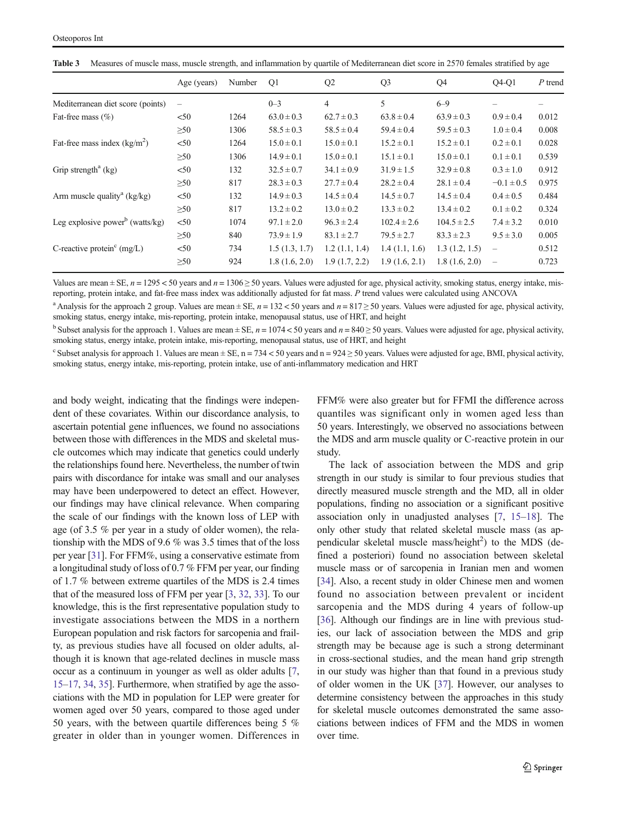<span id="page-6-0"></span>

|  |  | Table 3 Measures of muscle mass, muscle strength, and inflammation by quartile of Mediterranean diet score in 2570 females stratified by age |  |
|--|--|----------------------------------------------------------------------------------------------------------------------------------------------|--|
|--|--|----------------------------------------------------------------------------------------------------------------------------------------------|--|

| Age (years)              | Number | Q <sub>1</sub> | Q2             | Q <sub>3</sub>  | Q4              | $Q4-Q1$                  | P trend |
|--------------------------|--------|----------------|----------------|-----------------|-----------------|--------------------------|---------|
| $\overline{\phantom{m}}$ |        | $0 - 3$        | 4              | 5               | $6 - 9$         |                          |         |
| < 50                     | 1264   | $63.0 \pm 0.3$ | $62.7 \pm 0.3$ | $63.8 \pm 0.4$  | $63.9 \pm 0.3$  | $0.9 \pm 0.4$            | 0.012   |
| $\geq 50$                | 1306   | $58.5 \pm 0.3$ | $58.5 \pm 0.4$ | $59.4 \pm 0.4$  | $59.5 \pm 0.3$  | $1.0 \pm 0.4$            | 0.008   |
| < 50                     | 1264   | $15.0 \pm 0.1$ | $15.0 \pm 0.1$ | $15.2 \pm 0.1$  | $15.2 \pm 0.1$  | $0.2 \pm 0.1$            | 0.028   |
| $\geq 50$                | 1306   | $14.9 \pm 0.1$ | $15.0 \pm 0.1$ | $15.1 \pm 0.1$  | $15.0 \pm 0.1$  | $0.1 \pm 0.1$            | 0.539   |
| $<$ 50                   | 132    | $32.5 \pm 0.7$ | $34.1 \pm 0.9$ | $31.9 \pm 1.5$  | $32.9 \pm 0.8$  | $0.3 \pm 1.0$            | 0.912   |
| $\geq 50$                | 817    | $28.3 \pm 0.3$ | $27.7 \pm 0.4$ | $28.2 \pm 0.4$  | $28.1 \pm 0.4$  | $-0.1 \pm 0.5$           | 0.975   |
| $<$ 50                   | 132    | $14.9 \pm 0.3$ | $14.5 \pm 0.4$ | $14.5 \pm 0.7$  | $14.5 \pm 0.4$  | $0.4 \pm 0.5$            | 0.484   |
| $\geq 50$                | 817    | $13.2 \pm 0.2$ | $13.0 \pm 0.2$ | $13.3 \pm 0.2$  | $13.4 \pm 0.2$  | $0.1 \pm 0.2$            | 0.324   |
| < 50                     | 1074   | $97.1 \pm 2.0$ | $96.3 \pm 2.4$ | $102.4 \pm 2.6$ | $104.5 \pm 2.5$ | $7.4 \pm 3.2$            | 0.010   |
| $\geq 50$                | 840    | $73.9 \pm 1.9$ | $83.1 \pm 2.7$ | $79.5 \pm 2.7$  | $83.3 \pm 2.3$  | $9.5 \pm 3.0$            | 0.005   |
| < 50                     | 734    | 1.5(1.3, 1.7)  | 1.2(1.1, 1.4)  | 1.4(1.1, 1.6)   | 1.3(1.2, 1.5)   | $\overline{\phantom{m}}$ | 0.512   |
| $\geq 50$                | 924    | 1.8(1.6, 2.0)  | 1.9(1.7, 2.2)  | 1.9(1.6, 2.1)   | 1.8(1.6, 2.0)   | $\overline{\phantom{m}}$ | 0.723   |
|                          |        |                |                |                 |                 |                          |         |

Values are mean  $\pm$  SE,  $n = 1295 < 50$  years and  $n = 1306 \ge 50$  years. Values were adjusted for age, physical activity, smoking status, energy intake, misreporting, protein intake, and fat-free mass index was additionally adjusted for fat mass. P trend values were calculated using ANCOVA

<sup>a</sup> Analysis for the approach 2 group. Values are mean  $\pm$  SE,  $n = 132 < 50$  years and  $n = 817 \ge 50$  years. Values were adjusted for age, physical activity, smoking status, energy intake, mis-reporting, protein intake, menopausal status, use of HRT, and height

<sup>b</sup> Subset analysis for the approach 1. Values are mean  $\pm$  SE,  $n = 1074 < 50$  years and  $n = 840 \ge 50$  years. Values were adjusted for age, physical activity, smoking status, energy intake, protein intake, mis-reporting, menopausal status, use of HRT, and height

<sup>c</sup> Subset analysis for approach 1. Values are mean  $\pm$  SE, n = 734 < 50 years and n = 924  $\geq$  50 years. Values were adjusted for age, BMI, physical activity, smoking status, energy intake, mis-reporting, protein intake, use of anti-inflammatory medication and HRT

and body weight, indicating that the findings were independent of these covariates. Within our discordance analysis, to ascertain potential gene influences, we found no associations between those with differences in the MDS and skeletal muscle outcomes which may indicate that genetics could underly the relationships found here. Nevertheless, the number of twin pairs with discordance for intake was small and our analyses may have been underpowered to detect an effect. However, our findings may have clinical relevance. When comparing the scale of our findings with the known loss of LEP with age (of 3.5 % per year in a study of older women), the relationship with the MDS of 9.6 % was 3.5 times that of the loss per year [\[31\]](#page-8-0). For FFM%, using a conservative estimate from a longitudinal study of loss of 0.7 % FFM per year, our finding of 1.7 % between extreme quartiles of the MDS is 2.4 times that of the measured loss of FFM per year [[3](#page-8-0), [32](#page-8-0), [33](#page-8-0)]. To our knowledge, this is the first representative population study to investigate associations between the MDS in a northern European population and risk factors for sarcopenia and frailty, as previous studies have all focused on older adults, although it is known that age-related declines in muscle mass occur as a continuum in younger as well as older adults [[7,](#page-8-0) [15](#page-8-0)–[17](#page-8-0), [34](#page-9-0), [35](#page-9-0)]. Furthermore, when stratified by age the associations with the MD in population for LEP were greater for women aged over 50 years, compared to those aged under 50 years, with the between quartile differences being 5 % greater in older than in younger women. Differences in FFM% were also greater but for FFMI the difference across quantiles was significant only in women aged less than 50 years. Interestingly, we observed no associations between the MDS and arm muscle quality or C-reactive protein in our study.

The lack of association between the MDS and grip strength in our study is similar to four previous studies that directly measured muscle strength and the MD, all in older populations, finding no association or a significant positive association only in unadjusted analyses [[7,](#page-8-0) [15](#page-8-0)–[18](#page-8-0)]. The only other study that related skeletal muscle mass (as appendicular skeletal muscle mass/height<sup>2</sup>) to the MDS (defined a posteriori) found no association between skeletal muscle mass or of sarcopenia in Iranian men and women [\[34](#page-9-0)]. Also, a recent study in older Chinese men and women found no association between prevalent or incident sarcopenia and the MDS during 4 years of follow-up [\[36](#page-9-0)]. Although our findings are in line with previous studies, our lack of association between the MDS and grip strength may be because age is such a strong determinant in cross-sectional studies, and the mean hand grip strength in our study was higher than that found in a previous study of older women in the UK [[37](#page-9-0)]. However, our analyses to determine consistency between the approaches in this study for skeletal muscle outcomes demonstrated the same associations between indices of FFM and the MDS in women over time.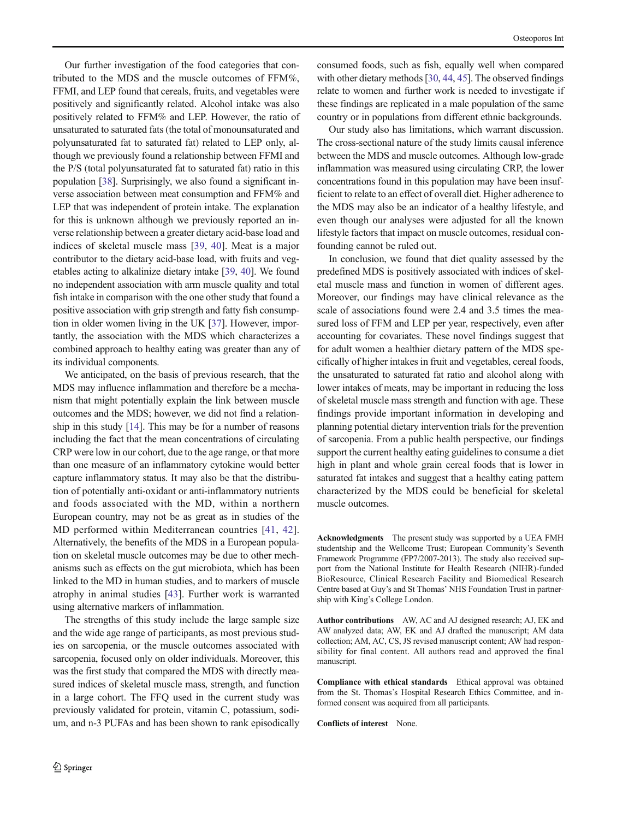Our further investigation of the food categories that contributed to the MDS and the muscle outcomes of FFM%, FFMI, and LEP found that cereals, fruits, and vegetables were positively and significantly related. Alcohol intake was also positively related to FFM% and LEP. However, the ratio of unsaturated to saturated fats (the total of monounsaturated and polyunsaturated fat to saturated fat) related to LEP only, although we previously found a relationship between FFMI and the P/S (total polyunsaturated fat to saturated fat) ratio in this population [[38](#page-9-0)]. Surprisingly, we also found a significant inverse association between meat consumption and FFM% and LEP that was independent of protein intake. The explanation for this is unknown although we previously reported an inverse relationship between a greater dietary acid-base load and indices of skeletal muscle mass [[39,](#page-9-0) [40\]](#page-9-0). Meat is a major contributor to the dietary acid-base load, with fruits and vegetables acting to alkalinize dietary intake [\[39,](#page-9-0) [40](#page-9-0)]. We found no independent association with arm muscle quality and total fish intake in comparison with the one other study that found a positive association with grip strength and fatty fish consumption in older women living in the UK [\[37\]](#page-9-0). However, importantly, the association with the MDS which characterizes a combined approach to healthy eating was greater than any of its individual components.

We anticipated, on the basis of previous research, that the MDS may influence inflammation and therefore be a mechanism that might potentially explain the link between muscle outcomes and the MDS; however, we did not find a relationship in this study [[14](#page-8-0)]. This may be for a number of reasons including the fact that the mean concentrations of circulating CRP were low in our cohort, due to the age range, or that more than one measure of an inflammatory cytokine would better capture inflammatory status. It may also be that the distribution of potentially anti-oxidant or anti-inflammatory nutrients and foods associated with the MD, within a northern European country, may not be as great as in studies of the MD performed within Mediterranean countries [[41](#page-9-0), [42](#page-9-0)]. Alternatively, the benefits of the MDS in a European population on skeletal muscle outcomes may be due to other mechanisms such as effects on the gut microbiota, which has been linked to the MD in human studies, and to markers of muscle atrophy in animal studies [\[43](#page-9-0)]. Further work is warranted using alternative markers of inflammation.

The strengths of this study include the large sample size and the wide age range of participants, as most previous studies on sarcopenia, or the muscle outcomes associated with sarcopenia, focused only on older individuals. Moreover, this was the first study that compared the MDS with directly measured indices of skeletal muscle mass, strength, and function in a large cohort. The FFQ used in the current study was previously validated for protein, vitamin C, potassium, sodium, and n-3 PUFAs and has been shown to rank episodically consumed foods, such as fish, equally well when compared with other dietary methods [\[30](#page-8-0), [44](#page-9-0), [45](#page-9-0)]. The observed findings relate to women and further work is needed to investigate if these findings are replicated in a male population of the same country or in populations from different ethnic backgrounds.

Our study also has limitations, which warrant discussion. The cross-sectional nature of the study limits causal inference between the MDS and muscle outcomes. Although low-grade inflammation was measured using circulating CRP, the lower concentrations found in this population may have been insufficient to relate to an effect of overall diet. Higher adherence to the MDS may also be an indicator of a healthy lifestyle, and even though our analyses were adjusted for all the known lifestyle factors that impact on muscle outcomes, residual confounding cannot be ruled out.

In conclusion, we found that diet quality assessed by the predefined MDS is positively associated with indices of skeletal muscle mass and function in women of different ages. Moreover, our findings may have clinical relevance as the scale of associations found were 2.4 and 3.5 times the measured loss of FFM and LEP per year, respectively, even after accounting for covariates. These novel findings suggest that for adult women a healthier dietary pattern of the MDS specifically of higher intakes in fruit and vegetables, cereal foods, the unsaturated to saturated fat ratio and alcohol along with lower intakes of meats, may be important in reducing the loss of skeletal muscle mass strength and function with age. These findings provide important information in developing and planning potential dietary intervention trials for the prevention of sarcopenia. From a public health perspective, our findings support the current healthy eating guidelines to consume a diet high in plant and whole grain cereal foods that is lower in saturated fat intakes and suggest that a healthy eating pattern characterized by the MDS could be beneficial for skeletal muscle outcomes.

Acknowledgments The present study was supported by a UEA FMH studentship and the Wellcome Trust; European Community's Seventh Framework Programme (FP7/2007-2013). The study also received support from the National Institute for Health Research (NIHR)-funded BioResource, Clinical Research Facility and Biomedical Research Centre based at Guy's and St Thomas' NHS Foundation Trust in partnership with King's College London.

Author contributions AW, AC and AJ designed research; AJ, EK and AW analyzed data; AW, EK and AJ drafted the manuscript; AM data collection; AM, AC, CS, JS revised manuscript content; AW had responsibility for final content. All authors read and approved the final manuscript.

Compliance with ethical standards Ethical approval was obtained from the St. Thomas's Hospital Research Ethics Committee, and informed consent was acquired from all participants.

Conflicts of interest None.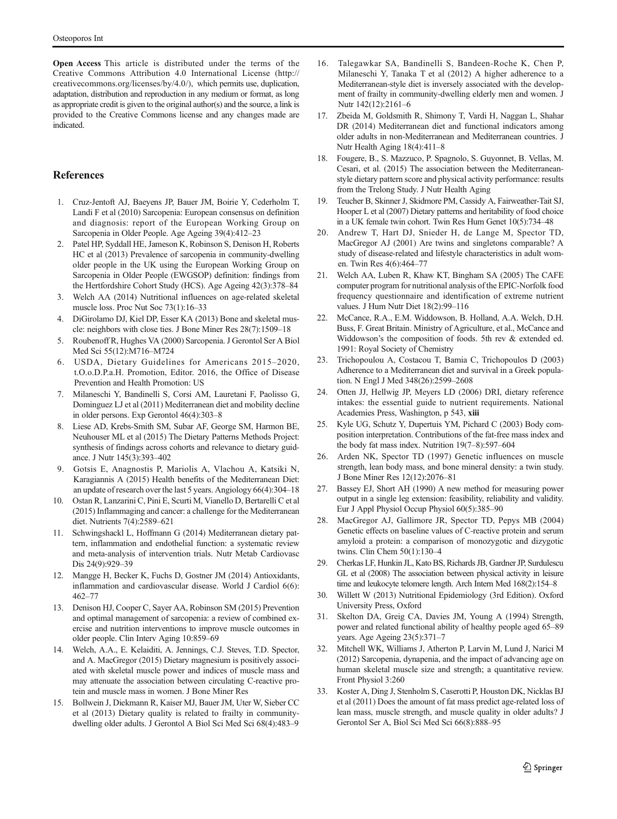<span id="page-8-0"></span>Open Access This article is distributed under the terms of the Creative Commons Attribution 4.0 International License (http:// creativecommons.org/licenses/by/4.0/), which permits use, duplication, adaptation, distribution and reproduction in any medium or format, as long as appropriate credit is given to the original author(s) and the source, a link is provided to the Creative Commons license and any changes made are indicated.

# References

- 1. Cruz-Jentoft AJ, Baeyens JP, Bauer JM, Boirie Y, Cederholm T, Landi F et al (2010) Sarcopenia: European consensus on definition and diagnosis: report of the European Working Group on Sarcopenia in Older People. Age Ageing 39(4):412–23
- 2. Patel HP, Syddall HE, Jameson K, Robinson S, Denison H, Roberts HC et al (2013) Prevalence of sarcopenia in community-dwelling older people in the UK using the European Working Group on Sarcopenia in Older People (EWGSOP) definition: findings from the Hertfordshire Cohort Study (HCS). Age Ageing 42(3):378–84
- 3. Welch AA (2014) Nutritional influences on age-related skeletal muscle loss. Proc Nut Soc 73(1):16–33
- 4. DiGirolamo DJ, Kiel DP, Esser KA (2013) Bone and skeletal muscle: neighbors with close ties. J Bone Miner Res 28(7):1509–18
- 5. Roubenoff R, Hughes VA (2000) Sarcopenia. J Gerontol Ser A Biol Med Sci 55(12):M716–M724
- 6. USDA, Dietary Guidelines for Americans 2015–2020, t.O.o.D.P.a.H. Promotion, Editor. 2016, the Office of Disease Prevention and Health Promotion: US
- 7. Milaneschi Y, Bandinelli S, Corsi AM, Lauretani F, Paolisso G, Dominguez LJ et al (2011) Mediterranean diet and mobility decline in older persons. Exp Gerontol 46(4):303–8
- 8. Liese AD, Krebs-Smith SM, Subar AF, George SM, Harmon BE, Neuhouser ML et al (2015) The Dietary Patterns Methods Project: synthesis of findings across cohorts and relevance to dietary guidance. J Nutr 145(3):393–402
- 9. Gotsis E, Anagnostis P, Mariolis A, Vlachou A, Katsiki N, Karagiannis A (2015) Health benefits of the Mediterranean Diet: an update of research over the last 5 years. Angiology 66(4):304–18
- 10. Ostan R, Lanzarini C, Pini E, Scurti M, Vianello D, Bertarelli C et al (2015) Inflammaging and cancer: a challenge for the Mediterranean diet. Nutrients 7(4):2589–621
- 11. Schwingshackl L, Hoffmann G (2014) Mediterranean dietary pattern, inflammation and endothelial function: a systematic review and meta-analysis of intervention trials. Nutr Metab Cardiovasc Dis 24(9):929–39
- 12. Mangge H, Becker K, Fuchs D, Gostner JM (2014) Antioxidants, inflammation and cardiovascular disease. World J Cardiol 6(6): 462–77
- 13. Denison HJ, Cooper C, Sayer AA, Robinson SM (2015) Prevention and optimal management of sarcopenia: a review of combined exercise and nutrition interventions to improve muscle outcomes in older people. Clin Interv Aging 10:859–69
- 14. Welch, A.A., E. Kelaiditi, A. Jennings, C.J. Steves, T.D. Spector, and A. MacGregor (2015) Dietary magnesium is positively associated with skeletal muscle power and indices of muscle mass and may attenuate the association between circulating C-reactive protein and muscle mass in women. J Bone Miner Res
- 15. Bollwein J, Diekmann R, Kaiser MJ, Bauer JM, Uter W, Sieber CC et al (2013) Dietary quality is related to frailty in communitydwelling older adults. J Gerontol A Biol Sci Med Sci 68(4):483–9
- 16. Talegawkar SA, Bandinelli S, Bandeen-Roche K, Chen P, Milaneschi Y, Tanaka T et al (2012) A higher adherence to a Mediterranean-style diet is inversely associated with the development of frailty in community-dwelling elderly men and women. J Nutr 142(12):2161–6
- 17. Zbeida M, Goldsmith R, Shimony T, Vardi H, Naggan L, Shahar DR (2014) Mediterranean diet and functional indicators among older adults in non-Mediterranean and Mediterranean countries. J Nutr Health Aging 18(4):411–8
- 18. Fougere, B., S. Mazzuco, P. Spagnolo, S. Guyonnet, B. Vellas, M. Cesari, et al. (2015) The association between the Mediterraneanstyle dietary pattern score and physical activity performance: results from the Trelong Study. J Nutr Health Aging
- 19. Teucher B, Skinner J, Skidmore PM, Cassidy A, Fairweather-Tait SJ, Hooper L et al (2007) Dietary patterns and heritability of food choice in a UK female twin cohort. Twin Res Hum Genet 10(5):734–48
- 20. Andrew T, Hart DJ, Snieder H, de Lange M, Spector TD, MacGregor AJ (2001) Are twins and singletons comparable? A study of disease-related and lifestyle characteristics in adult women. Twin Res 4(6):464–77
- 21. Welch AA, Luben R, Khaw KT, Bingham SA (2005) The CAFE computer program for nutritional analysis of the EPIC-Norfolk food frequency questionnaire and identification of extreme nutrient values. J Hum Nutr Diet 18(2):99–116
- 22. McCance, R.A., E.M. Widdowson, B. Holland, A.A. Welch, D.H. Buss, F. Great Britain. Ministry of Agriculture, et al., McCance and Widdowson's the composition of foods. 5th rev & extended ed. 1991: Royal Society of Chemistry
- 23. Trichopoulou A, Costacou T, Bamia C, Trichopoulos D (2003) Adherence to a Mediterranean diet and survival in a Greek population. N Engl J Med 348(26):2599–2608
- 24. Otten JJ, Hellwig JP, Meyers LD (2006) DRI, dietary reference intakes: the essential guide to nutrient requirements. National Academies Press, Washington, p 543, xiii
- 25. Kyle UG, Schutz Y, Dupertuis YM, Pichard C (2003) Body composition interpretation. Contributions of the fat-free mass index and the body fat mass index. Nutrition 19(7–8):597–604
- 26. Arden NK, Spector TD (1997) Genetic influences on muscle strength, lean body mass, and bone mineral density: a twin study. J Bone Miner Res 12(12):2076–81
- 27. Bassey EJ, Short AH (1990) A new method for measuring power output in a single leg extension: feasibility, reliability and validity. Eur J Appl Physiol Occup Physiol 60(5):385–90
- 28. MacGregor AJ, Gallimore JR, Spector TD, Pepys MB (2004) Genetic effects on baseline values of C-reactive protein and serum amyloid a protein: a comparison of monozygotic and dizygotic twins. Clin Chem 50(1):130–4
- 29. Cherkas LF, Hunkin JL, Kato BS, Richards JB, Gardner JP, Surdulescu GL et al (2008) The association between physical activity in leisure time and leukocyte telomere length. Arch Intern Med 168(2):154–8
- 30. Willett W (2013) Nutritional Epidemiology (3rd Edition). Oxford University Press, Oxford
- 31. Skelton DA, Greig CA, Davies JM, Young A (1994) Strength, power and related functional ability of healthy people aged 65–89 years. Age Ageing 23(5):371–7
- 32. Mitchell WK, Williams J, Atherton P, Larvin M, Lund J, Narici M (2012) Sarcopenia, dynapenia, and the impact of advancing age on human skeletal muscle size and strength; a quantitative review. Front Physiol 3:260
- 33. Koster A, Ding J, Stenholm S, Caserotti P, Houston DK, Nicklas BJ et al (2011) Does the amount of fat mass predict age-related loss of lean mass, muscle strength, and muscle quality in older adults? J Gerontol Ser A, Biol Sci Med Sci 66(8):888–95